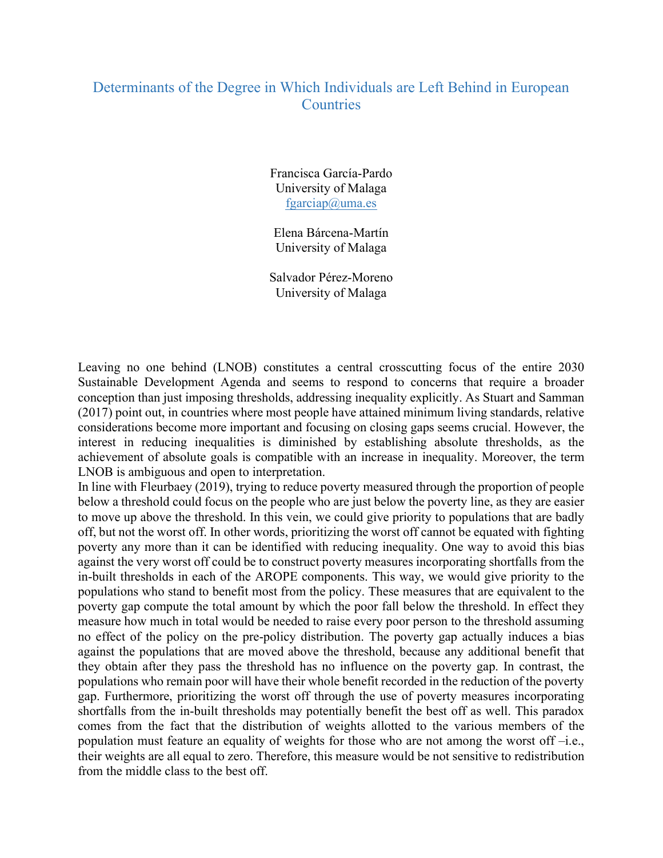## Determinants of the Degree in Which Individuals are Left Behind in European **Countries**

Francisca García-Pardo University of Malaga fgarciap@uma.es

Elena Bárcena-Martín University of Malaga

Salvador Pérez-Moreno University of Malaga

Leaving no one behind (LNOB) constitutes a central crosscutting focus of the entire 2030 Sustainable Development Agenda and seems to respond to concerns that require a broader conception than just imposing thresholds, addressing inequality explicitly. As Stuart and Samman (2017) point out, in countries where most people have attained minimum living standards, relative considerations become more important and focusing on closing gaps seems crucial. However, the interest in reducing inequalities is diminished by establishing absolute thresholds, as the achievement of absolute goals is compatible with an increase in inequality. Moreover, the term LNOB is ambiguous and open to interpretation.

In line with Fleurbaey (2019), trying to reduce poverty measured through the proportion of people below a threshold could focus on the people who are just below the poverty line, as they are easier to move up above the threshold. In this vein, we could give priority to populations that are badly off, but not the worst off. In other words, prioritizing the worst off cannot be equated with fighting poverty any more than it can be identified with reducing inequality. One way to avoid this bias against the very worst off could be to construct poverty measures incorporating shortfalls from the in-built thresholds in each of the AROPE components. This way, we would give priority to the populations who stand to benefit most from the policy. These measures that are equivalent to the poverty gap compute the total amount by which the poor fall below the threshold. In effect they measure how much in total would be needed to raise every poor person to the threshold assuming no effect of the policy on the pre-policy distribution. The poverty gap actually induces a bias against the populations that are moved above the threshold, because any additional benefit that they obtain after they pass the threshold has no influence on the poverty gap. In contrast, the populations who remain poor will have their whole benefit recorded in the reduction of the poverty gap. Furthermore, prioritizing the worst off through the use of poverty measures incorporating shortfalls from the in-built thresholds may potentially benefit the best off as well. This paradox comes from the fact that the distribution of weights allotted to the various members of the population must feature an equality of weights for those who are not among the worst off –i.e., their weights are all equal to zero. Therefore, this measure would be not sensitive to redistribution from the middle class to the best off.